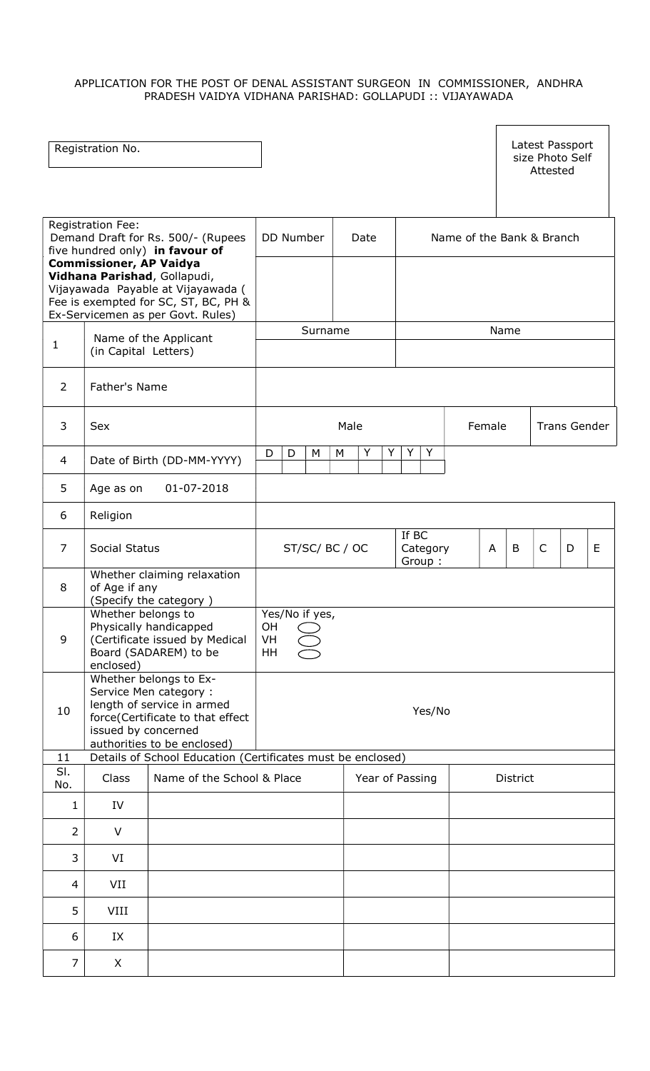# APPLICATION FOR THE POST OF DENAL ASSISTANT SURGEON IN COMMISSIONER, ANDHRA PRADESH VAIDYA VIDHANA PARISHAD: GOLLAPUDI :: VIJAYAWADA

|                                                                                                                                                                                                    | Registration No.                |                                                                                                                                                  |                                  |             |                             |        |          | Latest Passport<br>size Photo Self<br>Attested |              |   |
|----------------------------------------------------------------------------------------------------------------------------------------------------------------------------------------------------|---------------------------------|--------------------------------------------------------------------------------------------------------------------------------------------------|----------------------------------|-------------|-----------------------------|--------|----------|------------------------------------------------|--------------|---|
| Registration Fee:<br>Demand Draft for Rs. 500/- (Rupees<br>five hundred only) in favour of<br><b>Commissioner, AP Vaidya</b><br>Vidhana Parishad, Gollapudi,<br>Vijayawada Payable at Vijayawada ( |                                 |                                                                                                                                                  | DD Number                        | Date        | Name of the Bank & Branch   |        |          |                                                |              |   |
|                                                                                                                                                                                                    |                                 | Fee is exempted for SC, ST, BC, PH &<br>Ex-Servicemen as per Govt. Rules)                                                                        |                                  |             |                             |        |          |                                                |              |   |
| $\mathbf{1}$                                                                                                                                                                                       | (in Capital Letters)            | Name of the Applicant                                                                                                                            | Surname                          |             |                             |        | Name     |                                                |              |   |
| $\overline{2}$                                                                                                                                                                                     | Father's Name                   |                                                                                                                                                  |                                  |             |                             |        |          |                                                |              |   |
| 3                                                                                                                                                                                                  | Sex                             |                                                                                                                                                  |                                  | Male        |                             | Female |          |                                                | Trans Gender |   |
| 4                                                                                                                                                                                                  |                                 | Date of Birth (DD-MM-YYYY)                                                                                                                       | D<br>D<br>M                      | Y<br>Y<br>M | Y<br>Y                      |        |          |                                                |              |   |
| 5                                                                                                                                                                                                  | Age as on                       | 01-07-2018                                                                                                                                       |                                  |             |                             |        |          |                                                |              |   |
| 6                                                                                                                                                                                                  | Religion                        |                                                                                                                                                  |                                  |             |                             |        |          |                                                |              |   |
| $\overline{7}$                                                                                                                                                                                     | Social Status                   |                                                                                                                                                  | ST/SC/BC/OC                      |             | If BC<br>Category<br>Group: | A      | B        | $\mathsf{C}$                                   | D            | E |
| 8                                                                                                                                                                                                  | of Age if any                   | Whether claiming relaxation<br>(Specify the category)                                                                                            |                                  |             |                             |        |          |                                                |              |   |
| 9                                                                                                                                                                                                  | Whether belongs to<br>enclosed) | Physically handicapped<br>(Certificate issued by Medical<br>Board (SADAREM) to be                                                                | Yes/No if yes,<br>OH<br>VH<br>HH |             |                             |        |          |                                                |              |   |
| 10                                                                                                                                                                                                 | issued by concerned             | Whether belongs to Ex-<br>Service Men category:<br>length of service in armed<br>force(Certificate to that effect<br>authorities to be enclosed) | Yes/No                           |             |                             |        |          |                                                |              |   |
| 11<br>SI.                                                                                                                                                                                          |                                 | Details of School Education (Certificates must be enclosed)                                                                                      |                                  |             |                             |        |          |                                                |              |   |
| No.                                                                                                                                                                                                | Class                           | Name of the School & Place                                                                                                                       |                                  |             | Year of Passing             |        | District |                                                |              |   |
| $\mathbf{1}$                                                                                                                                                                                       | IV                              |                                                                                                                                                  |                                  |             |                             |        |          |                                                |              |   |
| $\overline{2}$                                                                                                                                                                                     | V                               |                                                                                                                                                  |                                  |             |                             |        |          |                                                |              |   |
| 3                                                                                                                                                                                                  | VI                              |                                                                                                                                                  |                                  |             |                             |        |          |                                                |              |   |
| 4                                                                                                                                                                                                  | VII                             |                                                                                                                                                  |                                  |             |                             |        |          |                                                |              |   |
| 5                                                                                                                                                                                                  | VIII                            |                                                                                                                                                  |                                  |             |                             |        |          |                                                |              |   |
| 6                                                                                                                                                                                                  | IX                              |                                                                                                                                                  |                                  |             |                             |        |          |                                                |              |   |
| $\overline{7}$                                                                                                                                                                                     | X                               |                                                                                                                                                  |                                  |             |                             |        |          |                                                |              |   |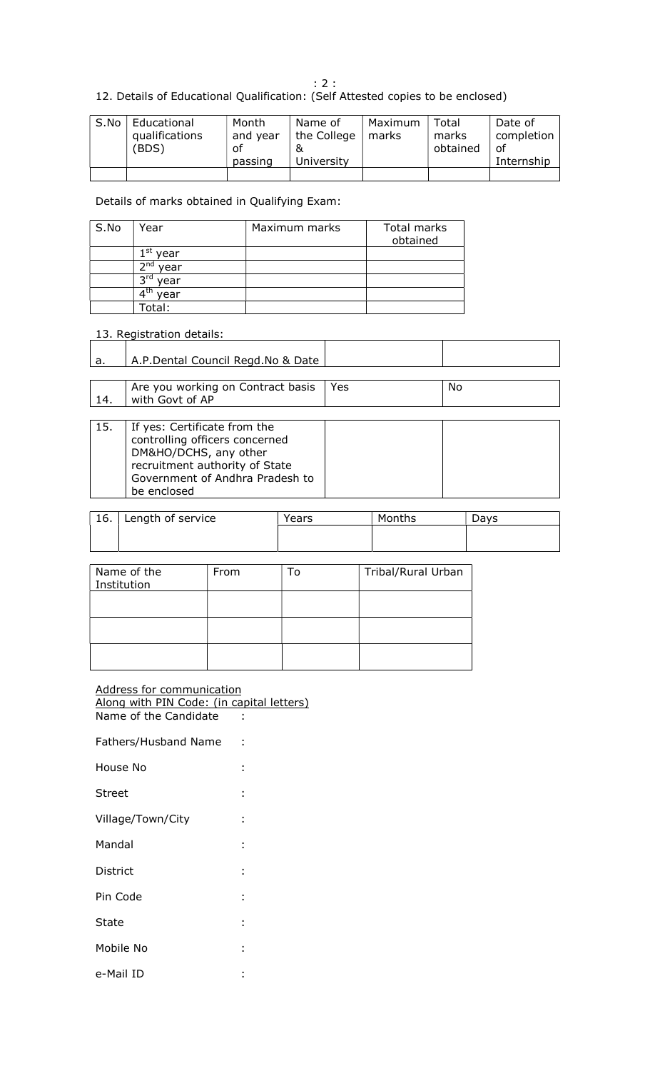: 2 :

12. Details of Educational Qualification: (Self Attested copies to be enclosed)

| S.No | Educational<br>qualifications<br>(BDS) | Month<br>and year<br>of<br>passing | Name of<br>the College<br>University | Maximum<br>marks | Total<br>marks<br>obtained | Date of<br>completion<br>οf<br>Internship |
|------|----------------------------------------|------------------------------------|--------------------------------------|------------------|----------------------------|-------------------------------------------|
|      |                                        |                                    |                                      |                  |                            |                                           |

Details of marks obtained in Qualifying Exam:

| S.No | Year        | Maximum marks | Total marks<br>obtained |
|------|-------------|---------------|-------------------------|
|      | st<br>year  |               |                         |
|      | ∩ת ה<br>ear |               |                         |
|      | эn<br>ear   |               |                         |
|      | year        |               |                         |
|      | Total:      |               |                         |

# 13. Registration details:

| а.   | A.P.Dental Council Regd.No & Date |     |    |
|------|-----------------------------------|-----|----|
|      |                                   |     |    |
|      | Are you working on Contract basis | Yes | No |
| -14. | with Govt of AP                   |     |    |

| 15. | If yes: Certificate from the<br>controlling officers concerned |  |
|-----|----------------------------------------------------------------|--|
|     | DM&HO/DCHS, any other<br>recruitment authority of State        |  |
|     | Government of Andhra Pradesh to                                |  |
|     | be enclosed                                                    |  |

| 16. | Length of service | Years | Months | Davs |
|-----|-------------------|-------|--------|------|
|     |                   |       |        |      |
|     |                   |       |        |      |

| Name of the<br>Institution | From | То | Tribal/Rural Urban |
|----------------------------|------|----|--------------------|
|                            |      |    |                    |
|                            |      |    |                    |
|                            |      |    |                    |

#### Address for communication Along with PIN Code: (in capital letters) Name of the Candidate :

Fathers/Husband Name :

| House No          |   |
|-------------------|---|
| Street            |   |
| Village/Town/City | ٠ |
| Mandal            | ٠ |
| District          | ÷ |
| Pin Code          |   |
| State             | ٠ |
| Mobile No         | ٠ |
| e-Mail ID         | ٠ |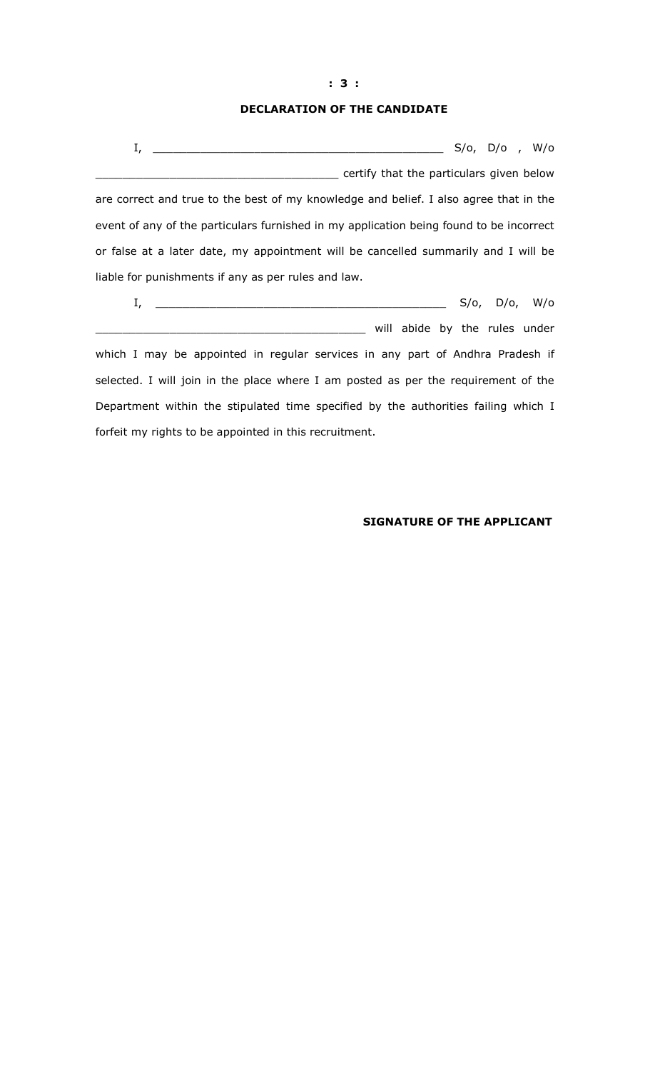## DECLARATION OF THE CANDIDATE

|                                                                                         |  | S/o, D/o , W/o        |  |
|-----------------------------------------------------------------------------------------|--|-----------------------|--|
| certify that the particulars given below                                                |  |                       |  |
| are correct and true to the best of my knowledge and belief. I also agree that in the   |  |                       |  |
| event of any of the particulars furnished in my application being found to be incorrect |  |                       |  |
| or false at a later date, my appointment will be cancelled summarily and I will be      |  |                       |  |
| liable for punishments if any as per rules and law.                                     |  |                       |  |
| I,                                                                                      |  | $S/O$ , $D/O$ , $W/O$ |  |

\_\_\_\_\_\_\_\_\_\_\_\_\_\_\_\_\_\_\_\_\_\_\_\_\_\_\_\_\_\_\_\_\_\_\_\_\_\_\_\_ will abide by the rules under which I may be appointed in regular services in any part of Andhra Pradesh if selected. I will join in the place where I am posted as per the requirement of the Department within the stipulated time specified by the authorities failing which I forfeit my rights to be appointed in this recruitment.

## SIGNATURE OF THE APPLICANT

#### : 3 :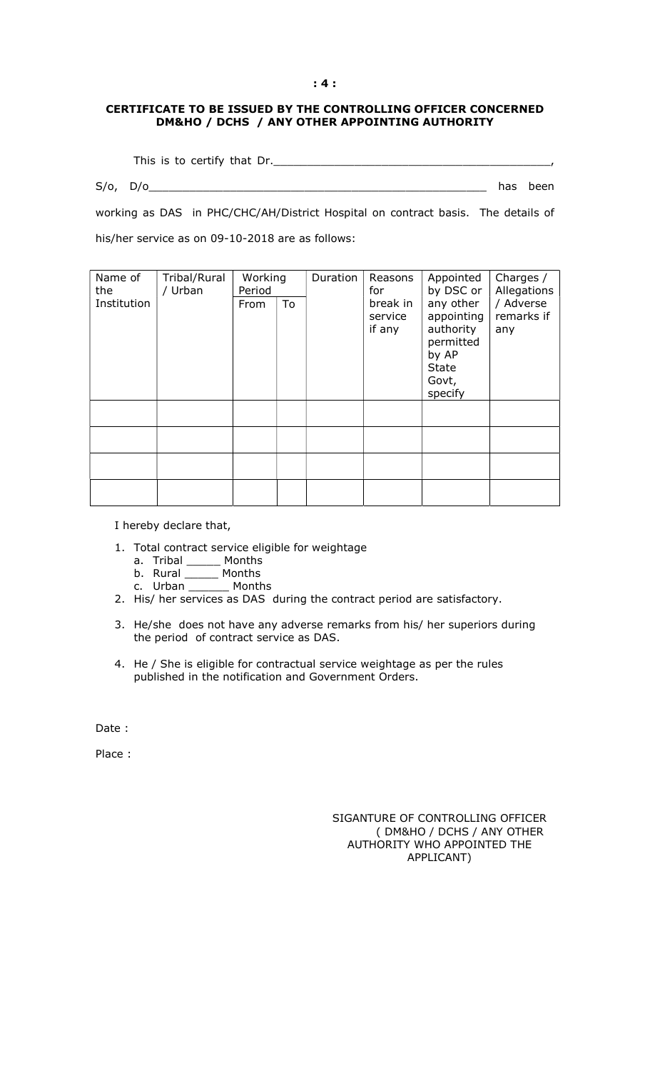#### : 4 :

#### CERTIFICATE TO BE ISSUED BY THE CONTROLLING OFFICER CONCERNED DM&HO / DCHS / ANY OTHER APPOINTING AUTHORITY

This is to certify that Dr.

 $S/O,$   $D/O$   $\qquad \qquad$  has been

working as DAS in PHC/CHC/AH/District Hospital on contract basis. The details of his/her service as on 09-10-2018 are as follows:

| Name of<br>the | Tribal/Rural<br>/ Urban | Working<br>Period |    | Duration | Reasons<br>for                | Appointed<br>by DSC or                                                                         | Charges /<br>Allegations       |
|----------------|-------------------------|-------------------|----|----------|-------------------------------|------------------------------------------------------------------------------------------------|--------------------------------|
| Institution    |                         | From              | To |          | break in<br>service<br>if any | any other<br>appointing<br>authority<br>permitted<br>by AP<br><b>State</b><br>Govt,<br>specify | / Adverse<br>remarks if<br>any |
|                |                         |                   |    |          |                               |                                                                                                |                                |
|                |                         |                   |    |          |                               |                                                                                                |                                |
|                |                         |                   |    |          |                               |                                                                                                |                                |
|                |                         |                   |    |          |                               |                                                                                                |                                |

I hereby declare that,

- 1. Total contract service eligible for weightage
	- a. Tribal \_\_\_\_\_\_ Months
	- b. Rural \_\_\_\_\_ Months
	- c. Urban \_\_\_\_\_\_ Months
- 2. His/ her services as DAS during the contract period are satisfactory.
- 3. He/she does not have any adverse remarks from his/ her superiors during the period of contract service as DAS.
- 4. He / She is eligible for contractual service weightage as per the rules published in the notification and Government Orders.

Date :

Place :

SIGANTURE OF CONTROLLING OFFICER ( DM&HO / DCHS / ANY OTHER AUTHORITY WHO APPOINTED THE APPLICANT)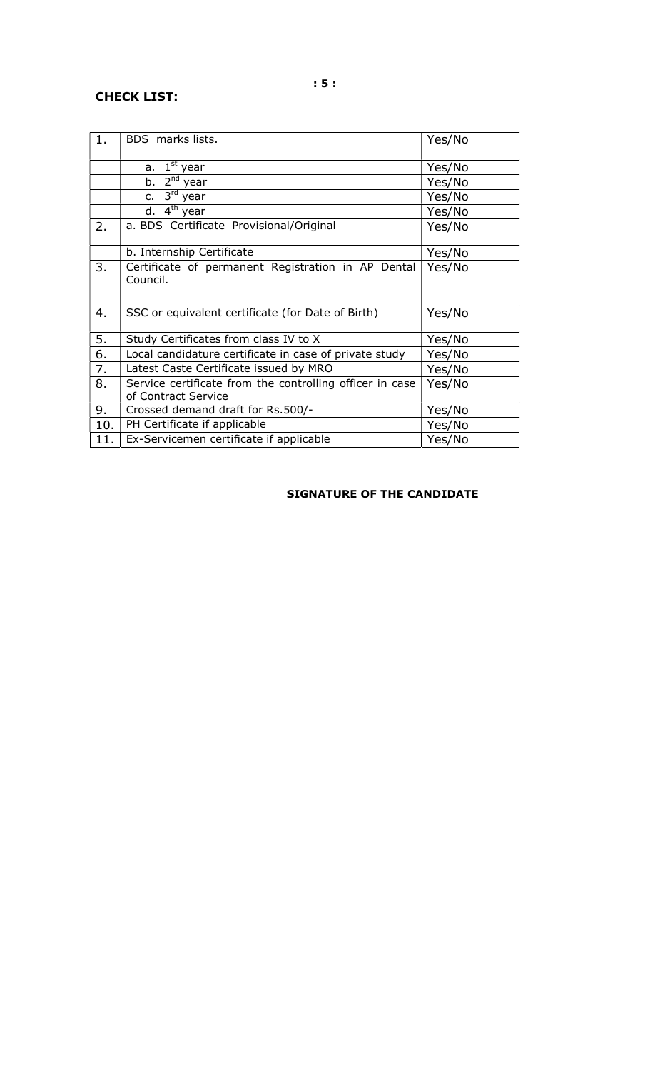# CHECK LIST:

| 1.  | BDS marks lists.                                                                | Yes/No |
|-----|---------------------------------------------------------------------------------|--------|
|     | $1st$ year<br>a.                                                                | Yes/No |
|     | b. 2 <sup>nd</sup> year                                                         | Yes/No |
|     | c. $3^{\text{rd}}$ year                                                         | Yes/No |
|     | $4th$ year<br>d.                                                                | Yes/No |
| 2.  | a. BDS Certificate Provisional/Original                                         | Yes/No |
|     | b. Internship Certificate                                                       | Yes/No |
| 3.  | Certificate of permanent Registration in AP Dental<br>Council.                  | Yes/No |
| 4.  | SSC or equivalent certificate (for Date of Birth)                               | Yes/No |
| 5.  | Study Certificates from class IV to X                                           | Yes/No |
| 6.  | Local candidature certificate in case of private study                          | Yes/No |
| 7.  | Latest Caste Certificate issued by MRO                                          | Yes/No |
| 8.  | Service certificate from the controlling officer in case<br>of Contract Service | Yes/No |
| 9.  | Crossed demand draft for Rs.500/-                                               | Yes/No |
| 10. | PH Certificate if applicable                                                    | Yes/No |
| 11. | Ex-Servicemen certificate if applicable                                         | Yes/No |

# SIGNATURE OF THE CANDIDATE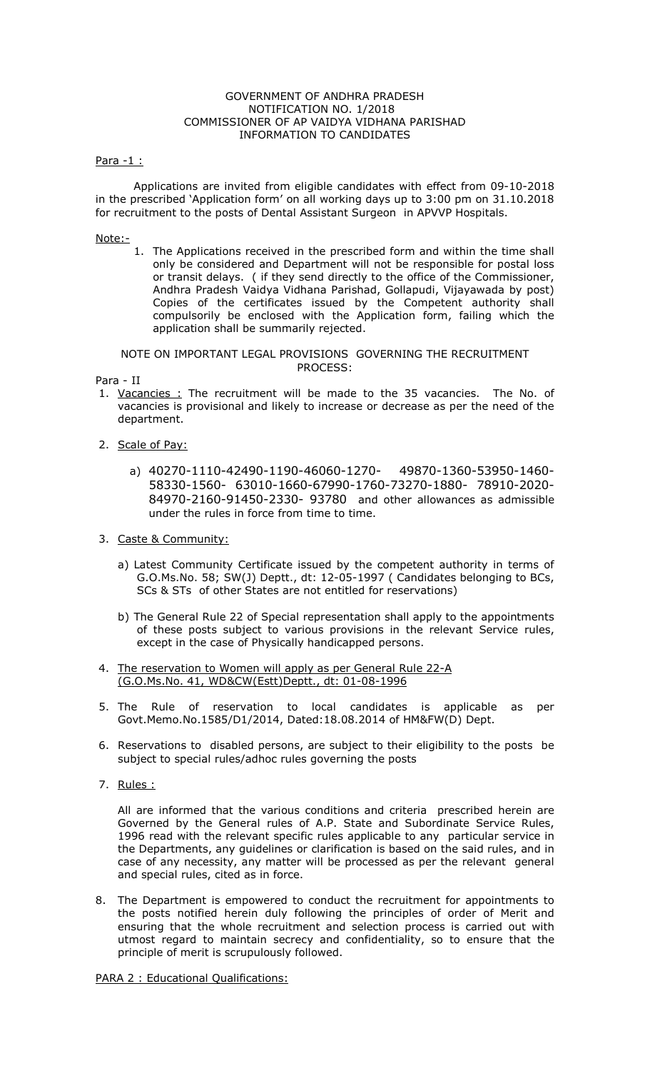#### GOVERNMENT OF ANDHRA PRADESH NOTIFICATION NO. 1/2018 COMMISSIONER OF AP VAIDYA VIDHANA PARISHAD INFORMATION TO CANDIDATES

#### Para -1 :

 Applications are invited from eligible candidates with effect from 09-10-2018 in the prescribed 'Application form' on all working days up to 3:00 pm on 31.10.2018 for recruitment to the posts of Dental Assistant Surgeon in APVVP Hospitals.

# Note:-

1. The Applications received in the prescribed form and within the time shall only be considered and Department will not be responsible for postal loss or transit delays. ( if they send directly to the office of the Commissioner, Andhra Pradesh Vaidya Vidhana Parishad, Gollapudi, Vijayawada by post) Copies of the certificates issued by the Competent authority shall compulsorily be enclosed with the Application form, failing which the application shall be summarily rejected.

NOTE ON IMPORTANT LEGAL PROVISIONS GOVERNING THE RECRUITMENT PROCESS:

Para - II

- 1. Vacancies : The recruitment will be made to the 35 vacancies. The No. of vacancies is provisional and likely to increase or decrease as per the need of the department.
- 2. Scale of Pay:
	- a) 40270-1110-42490-1190-46060-1270- 49870-1360-53950-1460- 58330-1560- 63010-1660-67990-1760-73270-1880- 78910-2020- 84970-2160-91450-2330- 93780 and other allowances as admissible under the rules in force from time to time.
- 3. Caste & Community:
	- a) Latest Community Certificate issued by the competent authority in terms of G.O.Ms.No. 58; SW(J) Deptt., dt: 12-05-1997 ( Candidates belonging to BCs, SCs & STs of other States are not entitled for reservations)
	- b) The General Rule 22 of Special representation shall apply to the appointments of these posts subject to various provisions in the relevant Service rules, except in the case of Physically handicapped persons.
- 4. The reservation to Women will apply as per General Rule 22-A (G.O.Ms.No. 41, WD&CW(Estt)Deptt., dt: 01-08-1996
- 5. The Rule of reservation to local candidates is applicable as per Govt.Memo.No.1585/D1/2014, Dated:18.08.2014 of HM&FW(D) Dept.
- 6. Reservations to disabled persons, are subject to their eligibility to the posts be subject to special rules/adhoc rules governing the posts
- 7. Rules :

All are informed that the various conditions and criteria prescribed herein are Governed by the General rules of A.P. State and Subordinate Service Rules, 1996 read with the relevant specific rules applicable to any particular service in the Departments, any guidelines or clarification is based on the said rules, and in case of any necessity, any matter will be processed as per the relevant general and special rules, cited as in force.

8. The Department is empowered to conduct the recruitment for appointments to the posts notified herein duly following the principles of order of Merit and ensuring that the whole recruitment and selection process is carried out with utmost regard to maintain secrecy and confidentiality, so to ensure that the principle of merit is scrupulously followed.

PARA 2 : Educational Qualifications: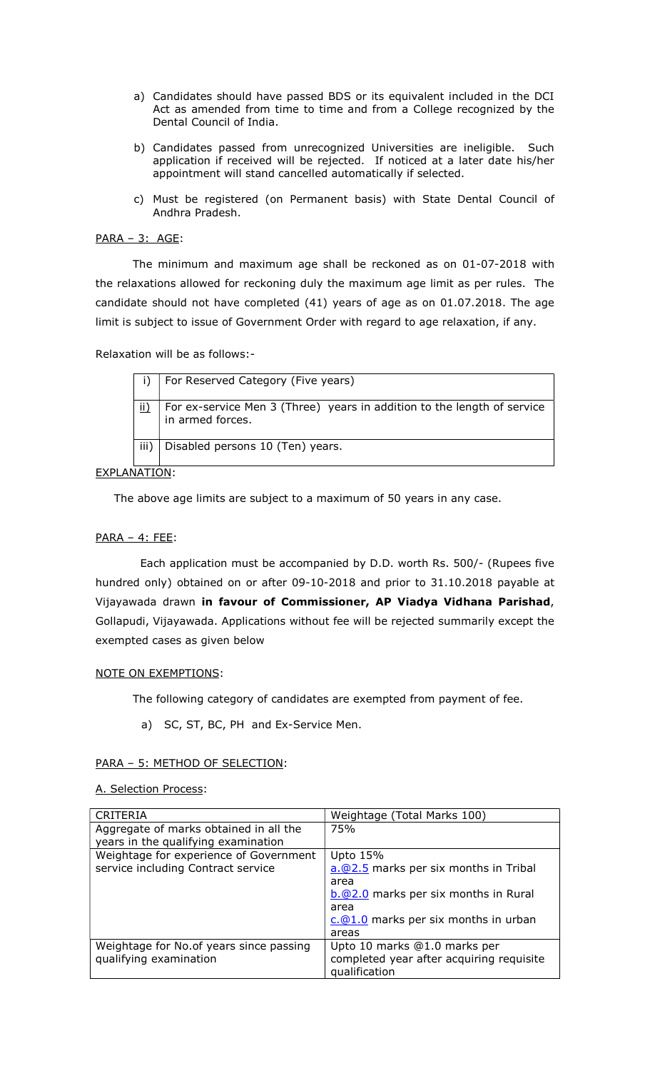- a) Candidates should have passed BDS or its equivalent included in the DCI Act as amended from time to time and from a College recognized by the Dental Council of India.
- b) Candidates passed from unrecognized Universities are ineligible. Such application if received will be rejected. If noticed at a later date his/her appointment will stand cancelled automatically if selected.
- c) Must be registered (on Permanent basis) with State Dental Council of Andhra Pradesh.

## PARA – 3: AGE:

 The minimum and maximum age shall be reckoned as on 01-07-2018 with the relaxations allowed for reckoning duly the maximum age limit as per rules. The candidate should not have completed (41) years of age as on 01.07.2018. The age limit is subject to issue of Government Order with regard to age relaxation, if any.

Relaxation will be as follows:-

|      | For Reserved Category (Five years)                                                          |
|------|---------------------------------------------------------------------------------------------|
| ii)  | For ex-service Men 3 (Three) years in addition to the length of service<br>in armed forces. |
| iii) | Disabled persons 10 (Ten) years.                                                            |

EXPLANATION:

The above age limits are subject to a maximum of 50 years in any case.

## PARA – 4: FEE:

 Each application must be accompanied by D.D. worth Rs. 500/- (Rupees five hundred only) obtained on or after 09-10-2018 and prior to 31.10.2018 payable at Vijayawada drawn in favour of Commissioner, AP Viadya Vidhana Parishad, Gollapudi, Vijayawada. Applications without fee will be rejected summarily except the exempted cases as given below

## NOTE ON EXEMPTIONS:

The following category of candidates are exempted from payment of fee.

a) SC, ST, BC, PH and Ex-Service Men.

## PARA – 5: METHOD OF SELECTION:

A. Selection Process:

| <b>CRITERIA</b>                          | Weightage (Total Marks 100)                          |
|------------------------------------------|------------------------------------------------------|
| Aggregate of marks obtained in all the   | 75%                                                  |
| years in the qualifying examination      |                                                      |
| Weightage for experience of Government   | Upto 15%                                             |
| service including Contract service       | a.@2.5 marks per six months in Tribal                |
|                                          | area                                                 |
|                                          | $b.\textcircled{2.0}$ marks per six months in Rural  |
|                                          | area                                                 |
|                                          | $c.\textcircled{a}1.0$ marks per six months in urban |
|                                          | areas                                                |
| Weightage for No. of years since passing | Upto 10 marks @1.0 marks per                         |
| qualifying examination                   | completed year after acquiring requisite             |
|                                          | qualification                                        |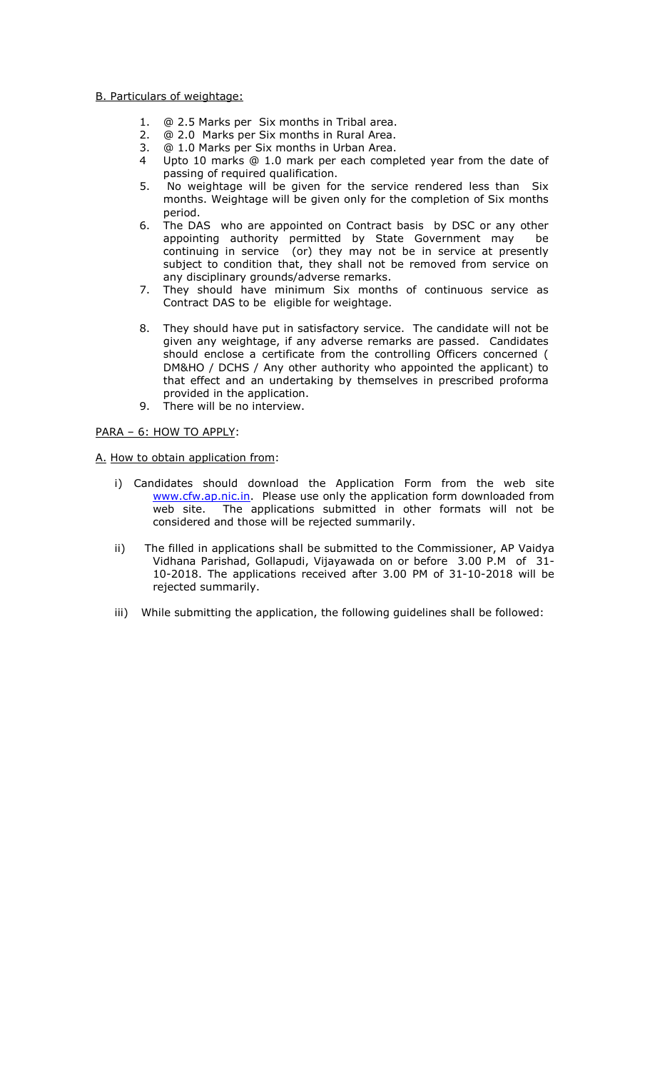## B. Particulars of weightage:

- 1. @ 2.5 Marks per Six months in Tribal area.
- 2. @ 2.0 Marks per Six months in Rural Area.
- 3. @ 1.0 Marks per Six months in Urban Area.
- 4 Upto 10 marks @ 1.0 mark per each completed year from the date of passing of required qualification.
- 5. No weightage will be given for the service rendered less than Six months. Weightage will be given only for the completion of Six months period.
- 6. The DAS who are appointed on Contract basis by DSC or any other appointing authority permitted by State Government may be continuing in service (or) they may not be in service at presently subject to condition that, they shall not be removed from service on any disciplinary grounds/adverse remarks.
- 7. They should have minimum Six months of continuous service as Contract DAS to be eligible for weightage.
- 8. They should have put in satisfactory service. The candidate will not be given any weightage, if any adverse remarks are passed. Candidates should enclose a certificate from the controlling Officers concerned ( DM&HO / DCHS / Any other authority who appointed the applicant) to that effect and an undertaking by themselves in prescribed proforma provided in the application.
- 9. There will be no interview.

## PARA – 6: HOW TO APPLY:

#### A. How to obtain application from:

- i) Candidates should download the Application Form from the web site www.cfw.ap.nic.in. Please use only the application form downloaded from web site. The applications submitted in other formats will not be considered and those will be rejected summarily.
- ii) The filled in applications shall be submitted to the Commissioner, AP Vaidya Vidhana Parishad, Gollapudi, Vijayawada on or before 3.00 P.M of 31- 10-2018. The applications received after 3.00 PM of 31-10-2018 will be rejected summarily.
- iii) While submitting the application, the following guidelines shall be followed: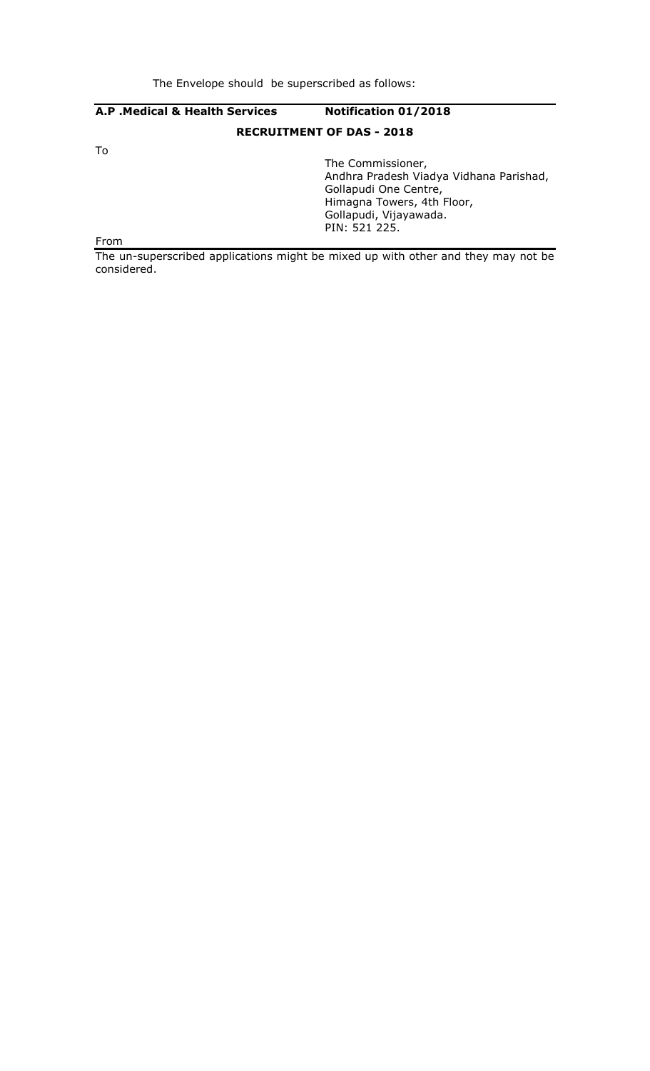# A.P .Medical & Health Services Notification 01/2018 RECRUITMENT OF DAS - 2018 To The Commissioner, Andhra Pradesh Viadya Vidhana Parishad, Gollapudi One Centre, Himagna Towers, 4th Floor, Gollapudi, Vijayawada. PIN: 521 225. From

The un-superscribed applications might be mixed up with other and they may not be considered.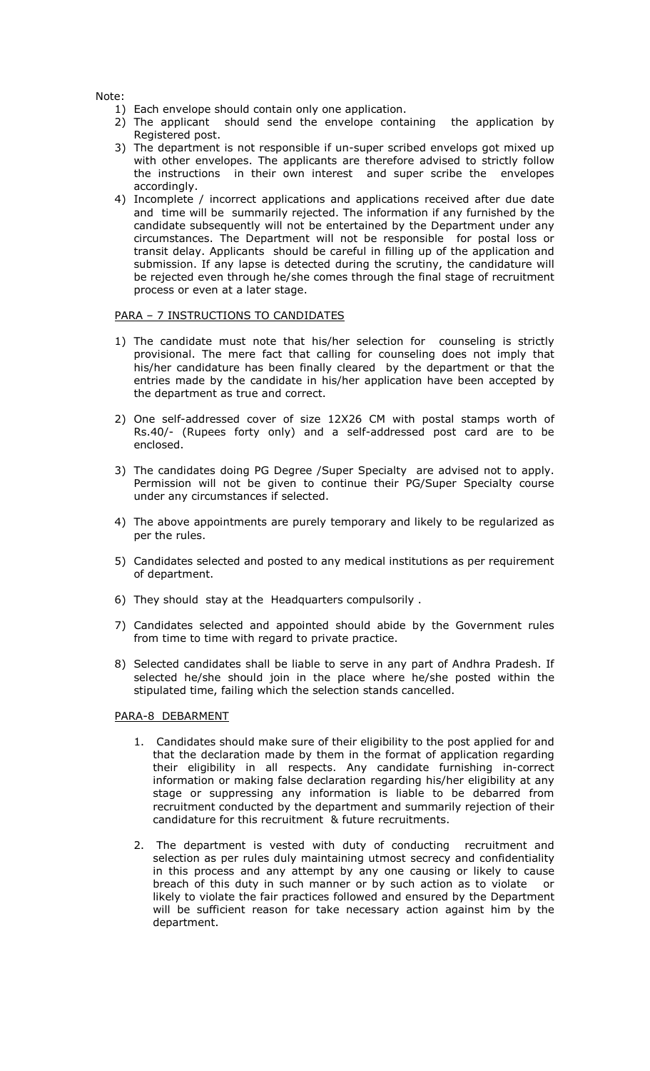Note:

- 1) Each envelope should contain only one application.
- 2) The applicant should send the envelope containing the application by Registered post.
- 3) The department is not responsible if un-super scribed envelops got mixed up with other envelopes. The applicants are therefore advised to strictly follow the instructions in their own interest and super scribe the envelopes accordingly.
- 4) Incomplete / incorrect applications and applications received after due date and time will be summarily rejected. The information if any furnished by the candidate subsequently will not be entertained by the Department under any circumstances. The Department will not be responsible for postal loss or transit delay. Applicants should be careful in filling up of the application and submission. If any lapse is detected during the scrutiny, the candidature will be rejected even through he/she comes through the final stage of recruitment process or even at a later stage.

#### PARA – 7 INSTRUCTIONS TO CANDIDATES

- 1) The candidate must note that his/her selection for counseling is strictly provisional. The mere fact that calling for counseling does not imply that his/her candidature has been finally cleared by the department or that the entries made by the candidate in his/her application have been accepted by the department as true and correct.
- 2) One self-addressed cover of size 12X26 CM with postal stamps worth of Rs.40/- (Rupees forty only) and a self-addressed post card are to be enclosed.
- 3) The candidates doing PG Degree /Super Specialty are advised not to apply. Permission will not be given to continue their PG/Super Specialty course under any circumstances if selected.
- 4) The above appointments are purely temporary and likely to be regularized as per the rules.
- 5) Candidates selected and posted to any medical institutions as per requirement of department.
- 6) They should stay at the Headquarters compulsorily .
- 7) Candidates selected and appointed should abide by the Government rules from time to time with regard to private practice.
- 8) Selected candidates shall be liable to serve in any part of Andhra Pradesh. If selected he/she should join in the place where he/she posted within the stipulated time, failing which the selection stands cancelled.

#### PARA-8 DEBARMENT

- 1. Candidates should make sure of their eligibility to the post applied for and that the declaration made by them in the format of application regarding their eligibility in all respects. Any candidate furnishing in-correct information or making false declaration regarding his/her eligibility at any stage or suppressing any information is liable to be debarred from recruitment conducted by the department and summarily rejection of their candidature for this recruitment & future recruitments.
- 2. The department is vested with duty of conducting recruitment and selection as per rules duly maintaining utmost secrecy and confidentiality in this process and any attempt by any one causing or likely to cause breach of this duty in such manner or by such action as to violate or likely to violate the fair practices followed and ensured by the Department will be sufficient reason for take necessary action against him by the department.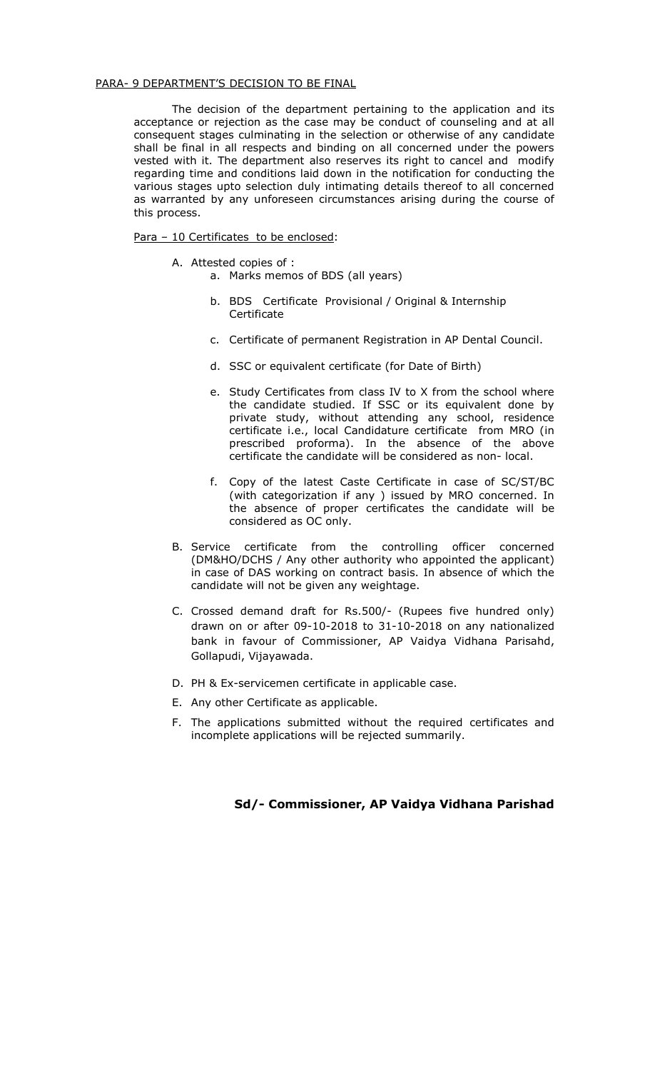#### PARA- 9 DEPARTMENT'S DECISION TO BE FINAL

The decision of the department pertaining to the application and its acceptance or rejection as the case may be conduct of counseling and at all consequent stages culminating in the selection or otherwise of any candidate shall be final in all respects and binding on all concerned under the powers vested with it. The department also reserves its right to cancel and modify regarding time and conditions laid down in the notification for conducting the various stages upto selection duly intimating details thereof to all concerned as warranted by any unforeseen circumstances arising during the course of this process.

# Para - 10 Certificates to be enclosed:

- A. Attested copies of :
	- a. Marks memos of BDS (all years)
	- b. BDS Certificate Provisional / Original & Internship **Certificate**
	- c. Certificate of permanent Registration in AP Dental Council.
	- d. SSC or equivalent certificate (for Date of Birth)
	- e. Study Certificates from class IV to X from the school where the candidate studied. If SSC or its equivalent done by private study, without attending any school, residence certificate i.e., local Candidature certificate from MRO (in prescribed proforma). In the absence of the above certificate the candidate will be considered as non- local.
	- f. Copy of the latest Caste Certificate in case of SC/ST/BC (with categorization if any ) issued by MRO concerned. In the absence of proper certificates the candidate will be considered as OC only.
- B. Service certificate from the controlling officer concerned (DM&HO/DCHS / Any other authority who appointed the applicant) in case of DAS working on contract basis. In absence of which the candidate will not be given any weightage.
- C. Crossed demand draft for Rs.500/- (Rupees five hundred only) drawn on or after 09-10-2018 to 31-10-2018 on any nationalized bank in favour of Commissioner, AP Vaidya Vidhana Parisahd, Gollapudi, Vijayawada.
- D. PH & Ex-servicemen certificate in applicable case.
- E. Any other Certificate as applicable.
- F. The applications submitted without the required certificates and incomplete applications will be rejected summarily.

# Sd/- Commissioner, AP Vaidya Vidhana Parishad